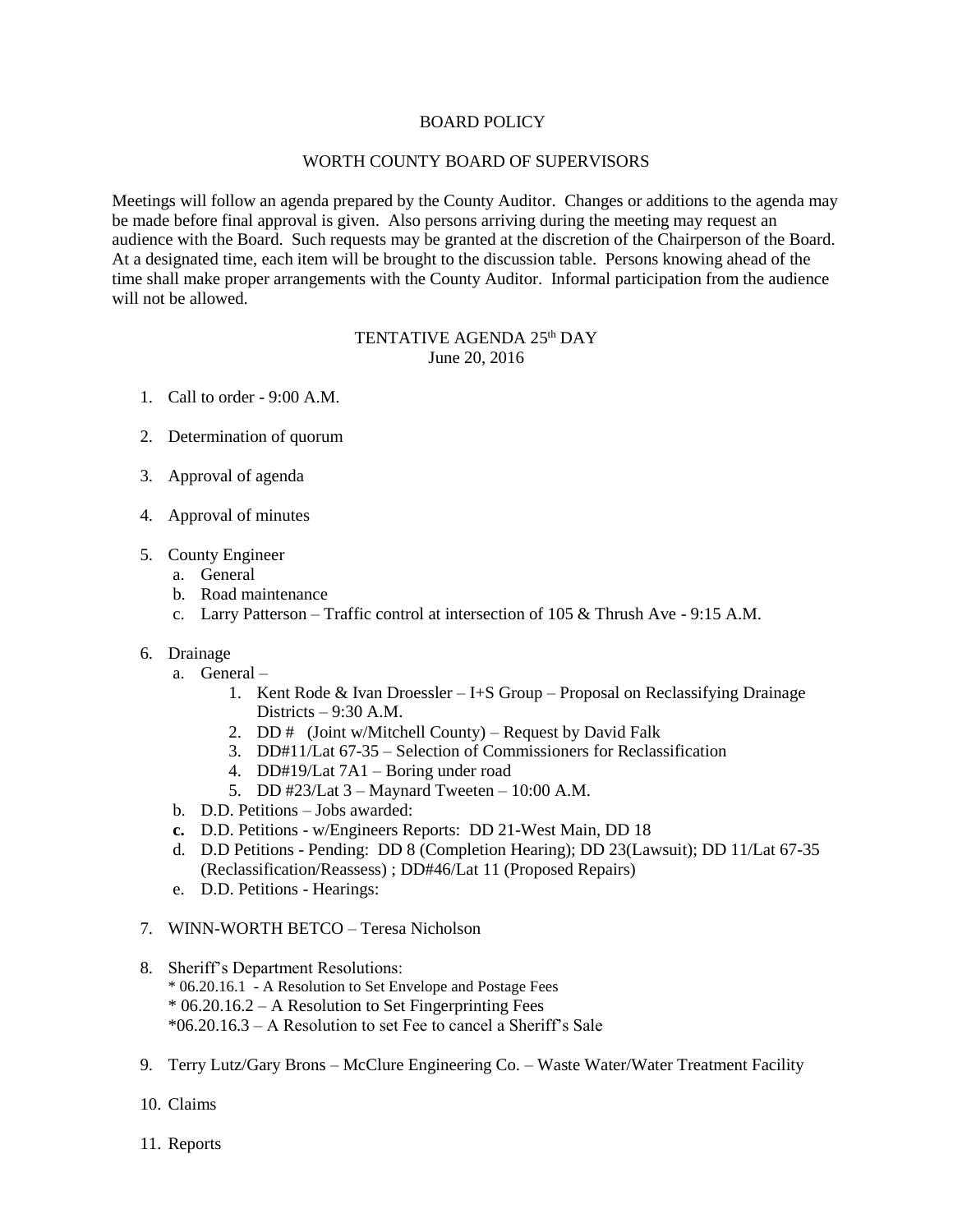## BOARD POLICY

## WORTH COUNTY BOARD OF SUPERVISORS

Meetings will follow an agenda prepared by the County Auditor. Changes or additions to the agenda may be made before final approval is given. Also persons arriving during the meeting may request an audience with the Board. Such requests may be granted at the discretion of the Chairperson of the Board. At a designated time, each item will be brought to the discussion table. Persons knowing ahead of the time shall make proper arrangements with the County Auditor. Informal participation from the audience will not be allowed.

## TENTATIVE AGENDA 25<sup>th</sup> DAY June 20, 2016

- 1. Call to order 9:00 A.M.
- 2. Determination of quorum
- 3. Approval of agenda
- 4. Approval of minutes
- 5. County Engineer
	- a. General
	- b. Road maintenance
	- c. Larry Patterson Traffic control at intersection of 105 & Thrush Ave 9:15 A.M.
- 6. Drainage
	- a. General
		- 1. Kent Rode & Ivan Droessler I+S Group Proposal on Reclassifying Drainage Districts – 9:30 A.M.
		- 2. DD  $#$  (Joint w/Mitchell County) Request by David Falk
		- 3. DD#11/Lat 67-35 Selection of Commissioners for Reclassification
		- 4. DD#19/Lat 7A1 Boring under road
		- 5. DD #23/Lat 3 Maynard Tweeten 10:00 A.M.
	- b. D.D. Petitions Jobs awarded:
	- **c.** D.D. Petitions w/Engineers Reports: DD 21-West Main, DD 18
	- d. D.D Petitions Pending: DD 8 (Completion Hearing); DD 23(Lawsuit); DD 11/Lat 67-35 (Reclassification/Reassess) ; DD#46/Lat 11 (Proposed Repairs)
	- e. D.D. Petitions Hearings:
- 7. WINN-WORTH BETCO Teresa Nicholson
- 8. Sheriff's Department Resolutions: \* 06.20.16.1 - A Resolution to Set Envelope and Postage Fees \* 06.20.16.2 – A Resolution to Set Fingerprinting Fees \*06.20.16.3 – A Resolution to set Fee to cancel a Sheriff's Sale
- 9. Terry Lutz/Gary Brons McClure Engineering Co. Waste Water/Water Treatment Facility
- 10. Claims
- 11. Reports